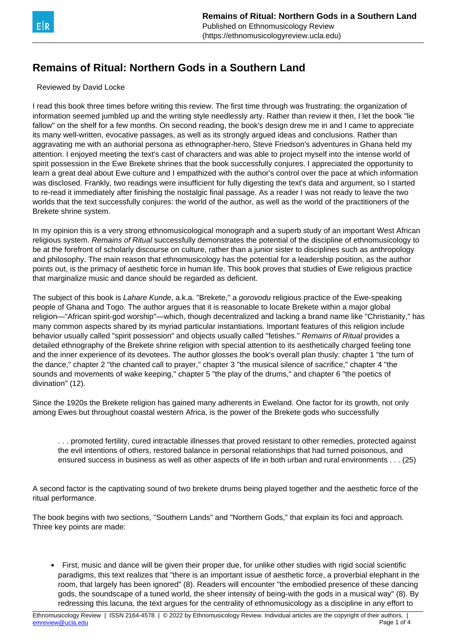

## **Remains of Ritual: Northern Gods in a Southern Land**

Reviewed by David Locke

I read this book three times before writing this review. The first time through was frustrating: the organization of information seemed jumbled up and the writing style needlessly arty. Rather than review it then, I let the book "lie fallow" on the shelf for a few months. On second reading, the book's design drew me in and I came to appreciate its many well-written, evocative passages, as well as its strongly argued ideas and conclusions. Rather than aggravating me with an authorial persona as ethnographer-hero, Steve Friedson's adventures in Ghana held my attention. I enjoyed meeting the text's cast of characters and was able to project myself into the intense world of spirit possession in the Ewe Brekete shrines that the book successfully conjures. I appreciated the opportunity to learn a great deal about Ewe culture and I empathized with the author's control over the pace at which information was disclosed. Frankly, two readings were insufficient for fully digesting the text's data and argument, so I started to re-read it immediately after finishing the nostalgic final passage. As a reader I was not ready to leave the two worlds that the text successfully conjures: the world of the author, as well as the world of the practitioners of the Brekete shrine system.

In my opinion this is a very strong ethnomusicological monograph and a superb study of an important West African religious system. Remains of Ritual successfully demonstrates the potential of the discipline of ethnomusicology to be at the forefront of scholarly discourse on culture, rather than a junior sister to disciplines such as anthropology and philosophy. The main reason that ethnomusicology has the potential for a leadership position, as the author points out, is the primacy of aesthetic force in human life. This book proves that studies of Ewe religious practice that marginalize music and dance should be regarded as deficient.

The subject of this book is Lahare Kunde, a.k.a. "Brekete," a gorovodu religious practice of the Ewe-speaking people of Ghana and Togo. The author argues that it is reasonable to locate Brekete within a major global religion—"African spirit-god worship"—which, though decentralized and lacking a brand name like "Christianity," has many common aspects shared by its myriad particular instantiations. Important features of this religion include behavior usually called "spirit possession" and objects usually called "fetishes." Remains of Ritual provides a detailed ethnography of the Brekete shrine religion with special attention to its aesthetically charged feeling tone and the inner experience of its devotees. The author glosses the book's overall plan thusly: chapter 1 "the turn of the dance," chapter 2 "the chanted call to prayer," chapter 3 "the musical silence of sacrifice," chapter 4 "the sounds and movements of wake keeping," chapter 5 "the play of the drums," and chapter 6 "the poetics of divination" (12).

Since the 1920s the Brekete religion has gained many adherents in Eweland. One factor for its growth, not only among Ewes but throughout coastal western Africa, is the power of the Brekete gods who successfully

. . . promoted fertility, cured intractable illnesses that proved resistant to other remedies, protected against the evil intentions of others, restored balance in personal relationships that had turned poisonous, and ensured success in business as well as other aspects of life in both urban and rural environments . . . (25)

A second factor is the captivating sound of two brekete drums being played together and the aesthetic force of the ritual performance.

The book begins with two sections, "Southern Lands" and "Northern Gods," that explain its foci and approach. Three key points are made:

• First, music and dance will be given their proper due, for unlike other studies with rigid social scientific paradigms, this text realizes that "there is an important issue of aesthetic force, a proverbial elephant in the room, that largely has been ignored" (8). Readers will encounter "the embodied presence of these dancing gods, the soundscape of a tuned world, the sheer intensity of being-with the gods in a musical way" (8). By redressing this lacuna, the text argues for the centrality of ethnomusicology as a discipline in any effort to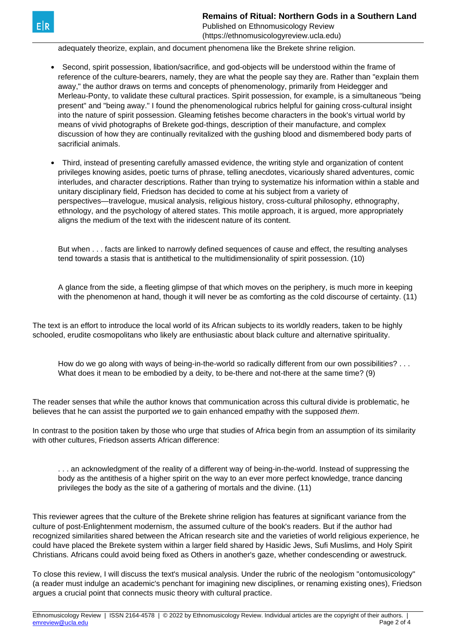Published on Ethnomusicology Review (https://ethnomusicologyreview.ucla.edu)

adequately theorize, explain, and document phenomena like the Brekete shrine religion.

- Second, spirit possession, libation/sacrifice, and god-objects will be understood within the frame of reference of the culture-bearers, namely, they are what the people say they are. Rather than "explain them away," the author draws on terms and concepts of phenomenology, primarily from Heidegger and Merleau-Ponty, to validate these cultural practices. Spirit possession, for example, is a simultaneous "being present" and "being away." I found the phenomenological rubrics helpful for gaining cross-cultural insight into the nature of spirit possession. Gleaming fetishes become characters in the book's virtual world by means of vivid photographs of Brekete god-things, description of their manufacture, and complex discussion of how they are continually revitalized with the gushing blood and dismembered body parts of sacrificial animals.
- Third, instead of presenting carefully amassed evidence, the writing style and organization of content privileges knowing asides, poetic turns of phrase, telling anecdotes, vicariously shared adventures, comic interludes, and character descriptions. Rather than trying to systematize his information within a stable and unitary disciplinary field, Friedson has decided to come at his subject from a variety of perspectives—travelogue, musical analysis, religious history, cross-cultural philosophy, ethnography, ethnology, and the psychology of altered states. This motile approach, it is argued, more appropriately aligns the medium of the text with the iridescent nature of its content.

But when . . . facts are linked to narrowly defined sequences of cause and effect, the resulting analyses tend towards a stasis that is antithetical to the multidimensionality of spirit possession. (10)

A glance from the side, a fleeting glimpse of that which moves on the periphery, is much more in keeping with the phenomenon at hand, though it will never be as comforting as the cold discourse of certainty. (11)

The text is an effort to introduce the local world of its African subjects to its worldly readers, taken to be highly schooled, erudite cosmopolitans who likely are enthusiastic about black culture and alternative spirituality.

How do we go along with ways of being-in-the-world so radically different from our own possibilities? . . . What does it mean to be embodied by a deity, to be-there and not-there at the same time? (9)

The reader senses that while the author knows that communication across this cultural divide is problematic, he believes that he can assist the purported we to gain enhanced empathy with the supposed them.

In contrast to the position taken by those who urge that studies of Africa begin from an assumption of its similarity with other cultures. Friedson asserts African difference:

. . . an acknowledgment of the reality of a different way of being-in-the-world. Instead of suppressing the body as the antithesis of a higher spirit on the way to an ever more perfect knowledge, trance dancing privileges the body as the site of a gathering of mortals and the divine. (11)

This reviewer agrees that the culture of the Brekete shrine religion has features at significant variance from the culture of post-Enlightenment modernism, the assumed culture of the book's readers. But if the author had recognized similarities shared between the African research site and the varieties of world religious experience, he could have placed the Brekete system within a larger field shared by Hasidic Jews, Sufi Muslims, and Holy Spirit Christians. Africans could avoid being fixed as Others in another's gaze, whether condescending or awestruck.

To close this review, I will discuss the text's musical analysis. Under the rubric of the neologism "ontomusicology" (a reader must indulge an academic's penchant for imagining new disciplines, or renaming existing ones), Friedson argues a crucial point that connects music theory with cultural practice.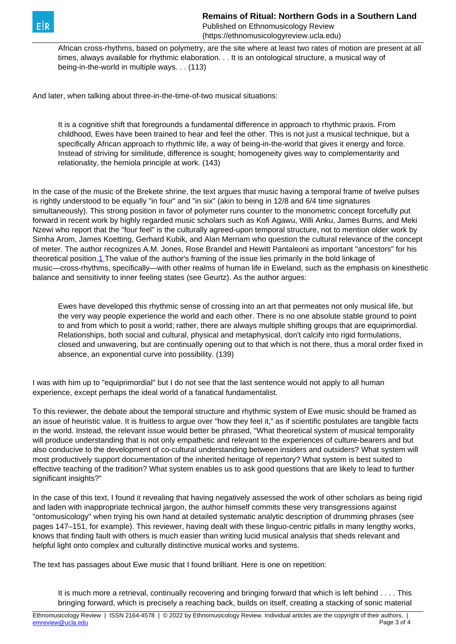<span id="page-2-0"></span>

**Remains of Ritual: Northern Gods in a Southern Land** Published on Ethnomusicology Review (https://ethnomusicologyreview.ucla.edu)

African cross-rhythms, based on polymetry, are the site where at least two rates of motion are present at all times, always available for rhythmic elaboration. . . It is an ontological structure, a musical way of being-in-the-world in multiple ways. . . (113)

And later, when talking about three-in-the-time-of-two musical situations:

It is a cognitive shift that foregrounds a fundamental difference in approach to rhythmic praxis. From childhood, Ewes have been trained to hear and feel the other. This is not just a musical technique, but a specifically African approach to rhythmic life, a way of being-in-the-world that gives it energy and force. Instead of striving for similitude, difference is sought; homogeneity gives way to complementarity and relationality, the hemiola principle at work. (143)

In the case of the music of the Brekete shrine, the text argues that music having a temporal frame of twelve pulses is rightly understood to be equally "in four" and "in six" (akin to being in 12/8 and 6/4 time signatures simultaneously). This strong position in favor of polymeter runs counter to the monometric concept forcefully put forward in recent work by highly regarded music scholars such as Kofi Agawu, Willi Anku, James Burns, and Meki Nzewi who report that the "four feel" is the culturally agreed-upon temporal structure, not to mention older work by Simha Arom, James Koetting, Gerhard Kubik, and Alan Merriam who question the cultural relevance of the concept of meter. The author recognizes A.M. Jones, Rose Brandel and Hewitt Pantaleoni as important "ancestors" for his theoretical position.[1](#page-2-0) The value of the author's framing of the issue lies primarily in the bold linkage of music—cross-rhythms, specifically—with other realms of human life in Eweland, such as the emphasis on kinesthetic balance and sensitivity to inner feeling states (see Geurtz). As the author argues:

Ewes have developed this rhythmic sense of crossing into an art that permeates not only musical life, but the very way people experience the world and each other. There is no one absolute stable ground to point to and from which to posit a world; rather, there are always multiple shifting groups that are equiprimordial. Relationships, both social and cultural, physical and metaphysical, don't calcify into rigid formulations, closed and unwavering, but are continually opening out to that which is not there, thus a moral order fixed in absence, an exponential curve into possibility. (139)

I was with him up to "equiprimordial" but I do not see that the last sentence would not apply to all human experience, except perhaps the ideal world of a fanatical fundamentalist.

To this reviewer, the debate about the temporal structure and rhythmic system of Ewe music should be framed as an issue of heuristic value. It is fruitless to argue over "how they feel it," as if scientific postulates are tangible facts in the world. Instead, the relevant issue would better be phrased, "What theoretical system of musical temporality will produce understanding that is not only empathetic and relevant to the experiences of culture-bearers and but also conducive to the development of co-cultural understanding between insiders and outsiders? What system will most productively support documentation of the inherited heritage of repertory? What system is best suited to effective teaching of the tradition? What system enables us to ask good questions that are likely to lead to further significant insights?"

In the case of this text, I found it revealing that having negatively assessed the work of other scholars as being rigid and laden with inappropriate technical jargon, the author himself commits these very transgressions against "ontomusicology" when trying his own hand at detailed systematic analytic description of drumming phrases (see pages 147–151, for example). This reviewer, having dealt with these linguo-centric pitfalls in many lengthy works, knows that finding fault with others is much easier than writing lucid musical analysis that sheds relevant and helpful light onto complex and culturally distinctive musical works and systems.

The text has passages about Ewe music that I found brilliant. Here is one on repetition:

It is much more a retrieval, continually recovering and bringing forward that which is left behind . . . . This bringing forward, which is precisely a reaching back, builds on itself, creating a stacking of sonic material